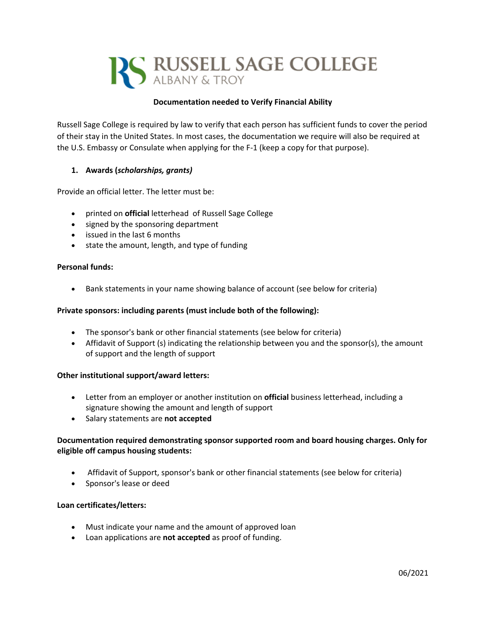

## **Documentation needed to Verify Financial Ability**

Russell Sage College is required by law to verify that each person has sufficient funds to cover the period of their stay in the United States. In most cases, the documentation we require will also be required at the U.S. Embassy or Consulate when applying for the F-1 (keep a copy for that purpose).

# **1. Awards (***scholarships, grants)*

Provide an official letter. The letter must be:

- printed on **official** letterhead of Russell Sage College
- signed by the sponsoring department
- issued in the last 6 months
- state the amount, length, and type of funding

### **Personal funds:**

• Bank statements in your name showing balance of account (see below for criteria)

### **Private sponsors: including parents (must include both of the following):**

- The sponsor's bank or other financial statements (see below for criteria)
- Affidavit of Support (s) indicating the relationship between you and the sponsor(s), the amount of support and the length of support

### **Other institutional support/award letters:**

- Letter from an employer or another institution on **official** business letterhead, including a signature showing the amount and length of support
- Salary statements are **not accepted**

## **Documentation required demonstrating sponsor supported room and board housing charges. Only for eligible off campus housing students:**

- Affidavit of Support, sponsor's bank or other financial statements (see below for criteria)
- Sponsor's lease or deed

### **Loan certificates/letters:**

- Must indicate your name and the amount of approved loan
- Loan applications are **not accepted** as proof of funding.